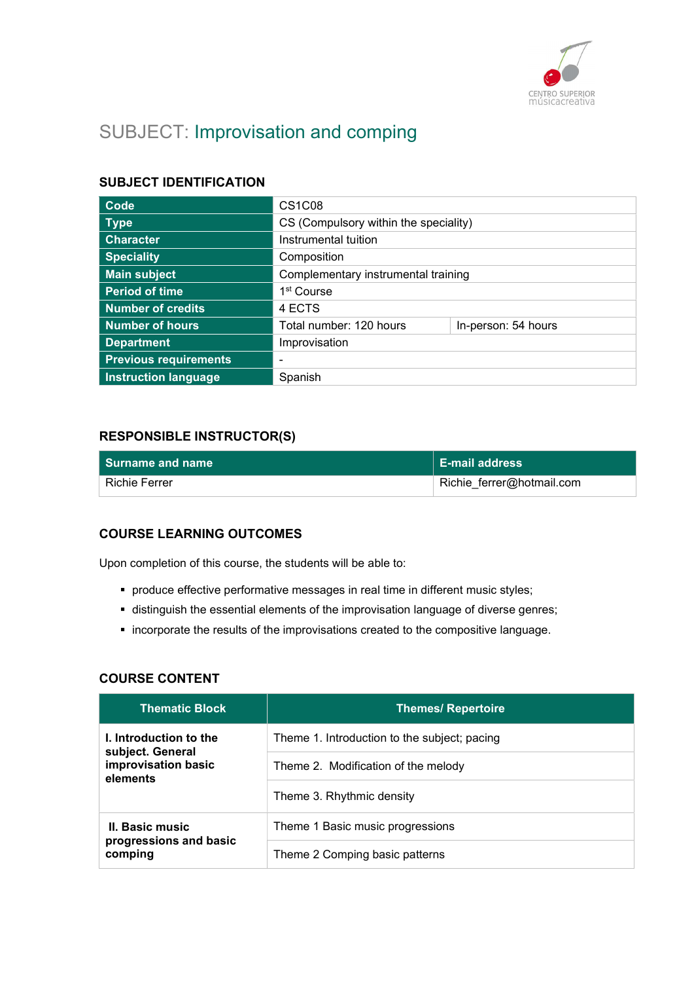

# SUBJECT: Improvisation and comping

# SUBJECT IDENTIFICATION

| Code                         | CS <sub>1</sub> C <sub>08</sub>       |                     |
|------------------------------|---------------------------------------|---------------------|
| <b>Type</b>                  | CS (Compulsory within the speciality) |                     |
| <b>Character</b>             | Instrumental tuition                  |                     |
| <b>Speciality</b>            | Composition                           |                     |
| <b>Main subject</b>          | Complementary instrumental training   |                     |
| <b>Period of time</b>        | 1 <sup>st</sup> Course                |                     |
| <b>Number of credits</b>     | 4 ECTS                                |                     |
| <b>Number of hours</b>       | Total number: 120 hours               | In-person: 54 hours |
| <b>Department</b>            | Improvisation                         |                     |
| <b>Previous requirements</b> | $\overline{\phantom{0}}$              |                     |
| <b>Instruction language</b>  | Spanish                               |                     |

# RESPONSIBLE INSTRUCTOR(S)

| $\blacksquare$ Surname and name | <b>E-mail address</b>     |
|---------------------------------|---------------------------|
| Richie Ferrer                   | Richie_ferrer@hotmail.com |

### COURSE LEARNING OUTCOMES

Upon completion of this course, the students will be able to:

- produce effective performative messages in real time in different music styles;
- distinguish the essential elements of the improvisation language of diverse genres;
- incorporate the results of the improvisations created to the compositive language.

### **COURSE CONTENT**

| <b>Thematic Block</b>                      | <b>Themes/ Repertoire</b>                    |
|--------------------------------------------|----------------------------------------------|
| I. Introduction to the<br>subject. General | Theme 1. Introduction to the subject; pacing |
| improvisation basic<br>elements            | Theme 2. Modification of the melody          |
|                                            | Theme 3. Rhythmic density                    |
| II. Basic music                            | Theme 1 Basic music progressions             |
| progressions and basic<br>comping          | Theme 2 Comping basic patterns               |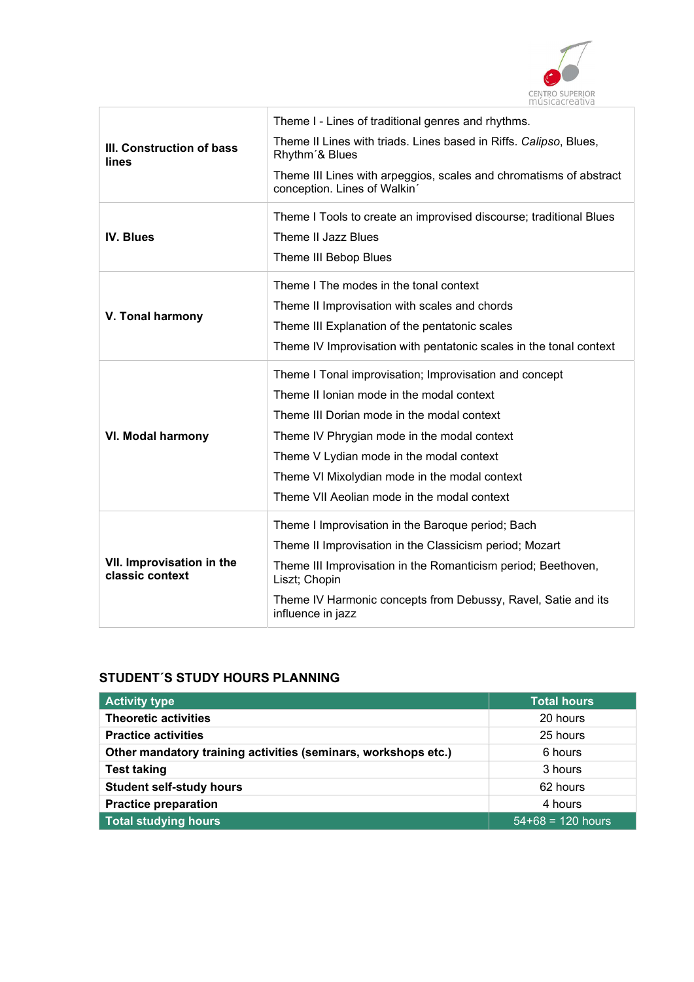

| III. Construction of bass<br>lines           | Theme I - Lines of traditional genres and rhythms.<br>Theme II Lines with triads. Lines based in Riffs. Calipso, Blues,<br>Rhythm'& Blues<br>Theme III Lines with arpeggios, scales and chromatisms of abstract<br>conception. Lines of Walkin'                                                                                              |
|----------------------------------------------|----------------------------------------------------------------------------------------------------------------------------------------------------------------------------------------------------------------------------------------------------------------------------------------------------------------------------------------------|
| <b>IV. Blues</b>                             | Theme I Tools to create an improvised discourse; traditional Blues<br>Theme II Jazz Blues<br>Theme III Bebop Blues                                                                                                                                                                                                                           |
| V. Tonal harmony                             | Theme I The modes in the tonal context<br>Theme II Improvisation with scales and chords<br>Theme III Explanation of the pentatonic scales<br>Theme IV Improvisation with pentatonic scales in the tonal context                                                                                                                              |
| <b>VI. Modal harmony</b>                     | Theme I Tonal improvisation; Improvisation and concept<br>Theme II Ionian mode in the modal context<br>Theme III Dorian mode in the modal context<br>Theme IV Phrygian mode in the modal context<br>Theme V Lydian mode in the modal context<br>Theme VI Mixolydian mode in the modal context<br>Theme VII Aeolian mode in the modal context |
| VII. Improvisation in the<br>classic context | Theme I Improvisation in the Baroque period; Bach<br>Theme II Improvisation in the Classicism period; Mozart<br>Theme III Improvisation in the Romanticism period; Beethoven,<br>Liszt; Chopin<br>Theme IV Harmonic concepts from Debussy, Ravel, Satie and its<br>influence in jazz                                                         |

# STUDENT´S STUDY HOURS PLANNING

| <b>Activity type</b>                                           | <b>Total hours</b>  |
|----------------------------------------------------------------|---------------------|
| <b>Theoretic activities</b>                                    | 20 hours            |
| <b>Practice activities</b>                                     | 25 hours            |
| Other mandatory training activities (seminars, workshops etc.) | 6 hours             |
| <b>Test taking</b>                                             | 3 hours             |
| <b>Student self-study hours</b>                                | 62 hours            |
| <b>Practice preparation</b>                                    | 4 hours             |
| <b>Total studying hours</b>                                    | $54+68 = 120$ hours |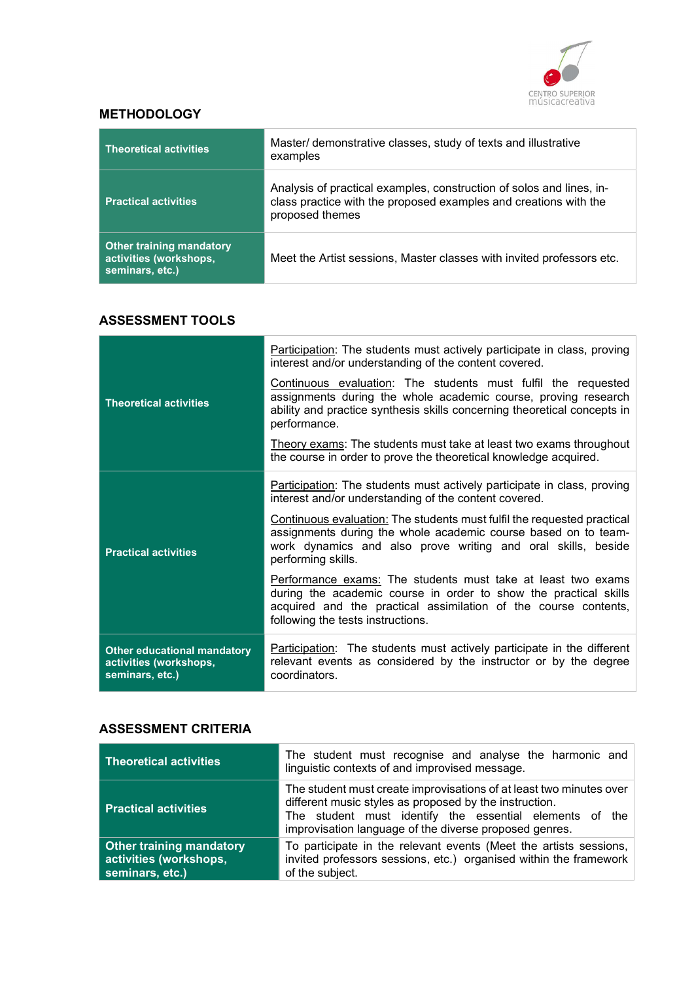

# **METHODOLOGY**

| <b>Theoretical activities</b>                                                | Master/ demonstrative classes, study of texts and illustrative<br>examples                                                                                  |
|------------------------------------------------------------------------------|-------------------------------------------------------------------------------------------------------------------------------------------------------------|
| <b>Practical activities</b>                                                  | Analysis of practical examples, construction of solos and lines, in-<br>class practice with the proposed examples and creations with the<br>proposed themes |
| <b>Other training mandatory</b><br>activities (workshops,<br>seminars, etc.) | Meet the Artist sessions, Master classes with invited professors etc.                                                                                       |

### ASSESSMENT TOOLS

|                                                                                 | <b>Participation:</b> The students must actively participate in class, proving<br>interest and/or understanding of the content covered.                                                                                                  |
|---------------------------------------------------------------------------------|------------------------------------------------------------------------------------------------------------------------------------------------------------------------------------------------------------------------------------------|
| <b>Theoretical activities</b>                                                   | Continuous evaluation: The students must fulfil the requested<br>assignments during the whole academic course, proving research<br>ability and practice synthesis skills concerning theoretical concepts in<br>performance.              |
|                                                                                 | Theory exams: The students must take at least two exams throughout<br>the course in order to prove the theoretical knowledge acquired.                                                                                                   |
| <b>Practical activities</b>                                                     | Participation: The students must actively participate in class, proving<br>interest and/or understanding of the content covered.                                                                                                         |
|                                                                                 | Continuous evaluation: The students must fulfil the requested practical<br>assignments during the whole academic course based on to team-<br>work dynamics and also prove writing and oral skills, beside<br>performing skills.          |
|                                                                                 | Performance exams: The students must take at least two exams<br>during the academic course in order to show the practical skills<br>acquired and the practical assimilation of the course contents,<br>following the tests instructions. |
| <b>Other educational mandatory</b><br>activities (workshops,<br>seminars, etc.) | <b>Participation:</b> The students must actively participate in the different<br>relevant events as considered by the instructor or by the degree<br>coordinators.                                                                       |

# ASSESSMENT CRITERIA

| <b>Theoretical activities</b>                                                | The student must recognise and analyse the harmonic and<br>linguistic contexts of and improvised message.                                                                                                                                          |
|------------------------------------------------------------------------------|----------------------------------------------------------------------------------------------------------------------------------------------------------------------------------------------------------------------------------------------------|
| <b>Practical activities</b>                                                  | The student must create improvisations of at least two minutes over<br>different music styles as proposed by the instruction.<br>The student must identify the essential elements of the<br>improvisation language of the diverse proposed genres. |
| <b>Other training mandatory</b><br>activities (workshops,<br>seminars, etc.) | To participate in the relevant events (Meet the artists sessions,<br>invited professors sessions, etc.) organised within the framework<br>of the subject.                                                                                          |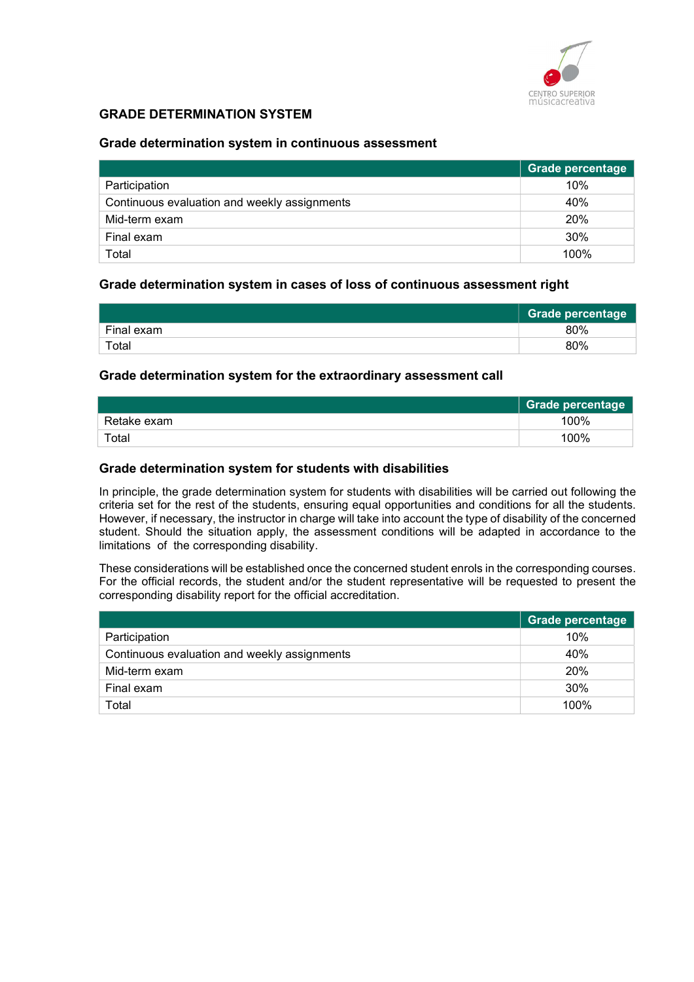

### GRADE DETERMINATION SYSTEM

#### Grade determination system in continuous assessment

|                                              | <b>Grade percentage</b> |
|----------------------------------------------|-------------------------|
| Participation                                | 10%                     |
| Continuous evaluation and weekly assignments | 40%                     |
| Mid-term exam                                | 20%                     |
| Final exam                                   | 30%                     |
| Total                                        | 100%                    |

#### Grade determination system in cases of loss of continuous assessment right

|            | <b>Grade percentage</b> |
|------------|-------------------------|
| Final exam | 80%                     |
| Total      | 80%                     |

#### Grade determination system for the extraordinary assessment call

|             | Grade percentage |
|-------------|------------------|
| Retake exam | 100%             |
| Total       | 100%             |

#### Grade determination system for students with disabilities

In principle, the grade determination system for students with disabilities will be carried out following the criteria set for the rest of the students, ensuring equal opportunities and conditions for all the students. However, if necessary, the instructor in charge will take into account the type of disability of the concerned student. Should the situation apply, the assessment conditions will be adapted in accordance to the limitations of the corresponding disability.

These considerations will be established once the concerned student enrols in the corresponding courses. For the official records, the student and/or the student representative will be requested to present the corresponding disability report for the official accreditation.

|                                              | Grade percentage |
|----------------------------------------------|------------------|
| Participation                                | 10%              |
| Continuous evaluation and weekly assignments | 40%              |
| Mid-term exam                                | 20%              |
| Final exam                                   | 30%              |
| Total                                        | 100%             |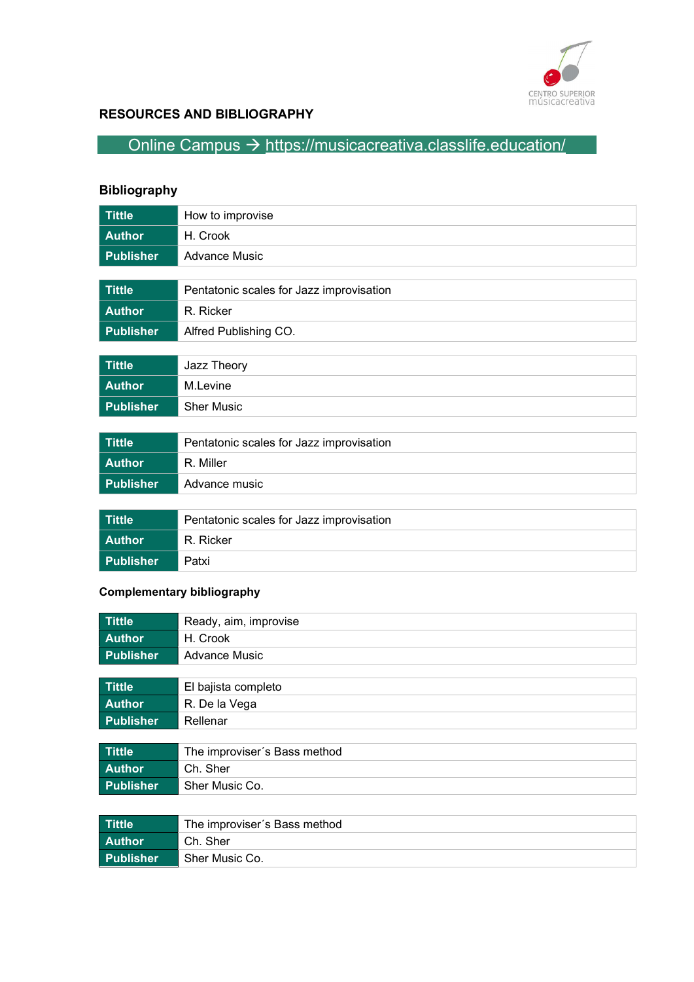

# RESOURCES AND BIBLIOGRAPHY

# Online Campus  $\rightarrow$  https://musicacreativa.classlife.education/

# Bibliography

| <b>Tittle</b>    | How to improvise                         |
|------------------|------------------------------------------|
| <b>Author</b>    | H. Crook                                 |
| <b>Publisher</b> | <b>Advance Music</b>                     |
|                  |                                          |
| <b>Tittle</b>    | Pentatonic scales for Jazz improvisation |
| <b>Author</b>    | R. Ricker                                |
| <b>Publisher</b> | Alfred Publishing CO.                    |
|                  |                                          |
| <b>Tittle</b>    | Jazz Theory                              |
| <b>Author</b>    | M.Levine                                 |
| <b>Publisher</b> | <b>Sher Music</b>                        |
|                  |                                          |
| <b>Tittle</b>    | Pentatonic scales for Jazz improvisation |
| <b>Author</b>    | R. Miller                                |
| <b>Publisher</b> | Advance music                            |
|                  |                                          |
| <b>Tittle</b>    | Pentatonic scales for Jazz improvisation |
| <b>Author</b>    | R. Ricker                                |

# Complementary bibliography

Publisher **Patxi** 

| <b>Tittle</b>    | Ready, aim, improvise        |
|------------------|------------------------------|
| <b>Author</b>    | H. Crook                     |
| <b>Publisher</b> | <b>Advance Music</b>         |
|                  |                              |
| <b>Tittle</b>    | El bajista completo          |
| <b>Author</b>    | R. De la Vega                |
| <b>Publisher</b> | Rellenar                     |
|                  |                              |
| Tittle           | The improviser's Bass method |
| <b>Author</b>    | Ch. Sher                     |
| <b>Publisher</b> | Sher Music Co.               |
|                  |                              |
|                  |                              |

| <b>Tittle</b>    | The improviser's Bass method |
|------------------|------------------------------|
| ∣ Author         | Ch. Sher                     |
| <b>Publisher</b> | Sher Music Co.               |